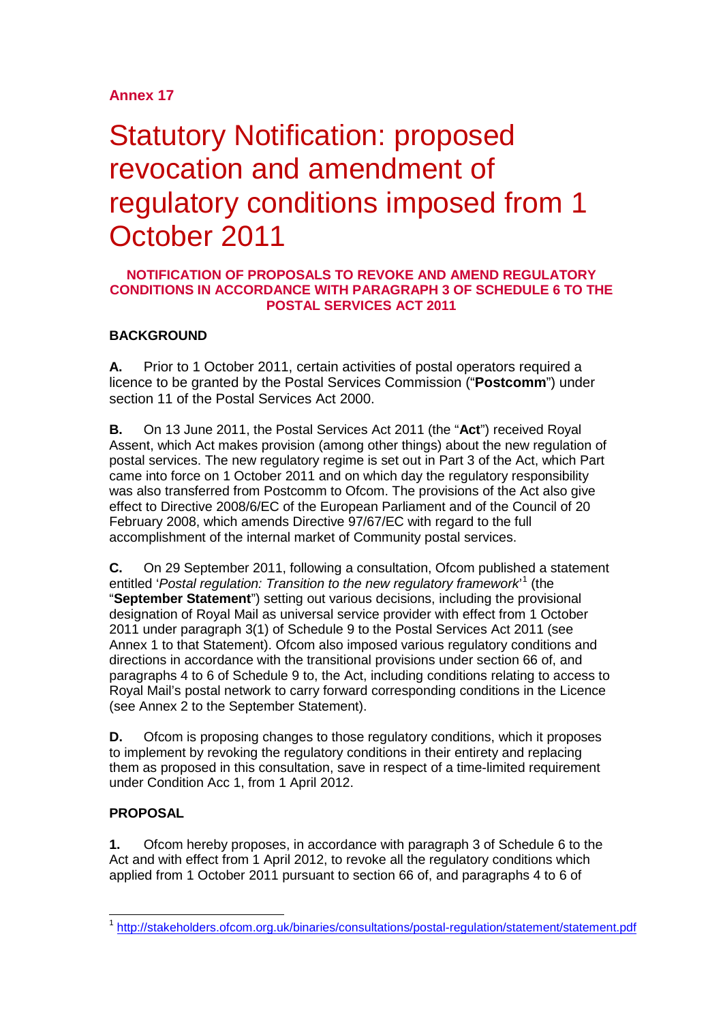# **Annex 17**

# Statutory Notification: proposed revocation and amendment of regulatory conditions imposed from 1 October 2011

### **NOTIFICATION OF PROPOSALS TO REVOKE AND AMEND REGULATORY CONDITIONS IN ACCORDANCE WITH PARAGRAPH 3 OF SCHEDULE 6 TO THE POSTAL SERVICES ACT 2011**

## **BACKGROUND**

**A.** Prior to 1 October 2011, certain activities of postal operators required a licence to be granted by the Postal Services Commission ("**Postcomm**") under section 11 of the Postal Services Act 2000.

**B.** On 13 June 2011, the Postal Services Act 2011 (the "**Act**") received Royal Assent, which Act makes provision (among other things) about the new regulation of postal services. The new regulatory regime is set out in Part 3 of the Act, which Part came into force on 1 October 2011 and on which day the regulatory responsibility was also transferred from Postcomm to Ofcom. The provisions of the Act also give effect to Directive 2008/6/EC of the European Parliament and of the Council of 20 February 2008, which amends Directive 97/67/EC with regard to the full accomplishment of the internal market of Community postal services.

**C.** On 29 September 2011, following a consultation, Ofcom published a statement entitled '*Postal regulation: Transition to the new regulatory framework*' [1](#page-0-0) (the "**September Statement**") setting out various decisions, including the provisional designation of Royal Mail as universal service provider with effect from 1 October 2011 under paragraph 3(1) of Schedule 9 to the Postal Services Act 2011 (see Annex 1 to that Statement). Ofcom also imposed various regulatory conditions and directions in accordance with the transitional provisions under section 66 of, and paragraphs 4 to 6 of Schedule 9 to, the Act, including conditions relating to access to Royal Mail's postal network to carry forward corresponding conditions in the Licence (see Annex 2 to the September Statement).

**D.** Ofcom is proposing changes to those regulatory conditions, which it proposes to implement by revoking the regulatory conditions in their entirety and replacing them as proposed in this consultation, save in respect of a time-limited requirement under Condition Acc 1, from 1 April 2012.

## **PROPOSAL**

**1.** Ofcom hereby proposes, in accordance with paragraph 3 of Schedule 6 to the Act and with effect from 1 April 2012, to revoke all the regulatory conditions which applied from 1 October 2011 pursuant to section 66 of, and paragraphs 4 to 6 of

<span id="page-0-0"></span> <sup>1</sup> <http://stakeholders.ofcom.org.uk/binaries/consultations/postal-regulation/statement/statement.pdf>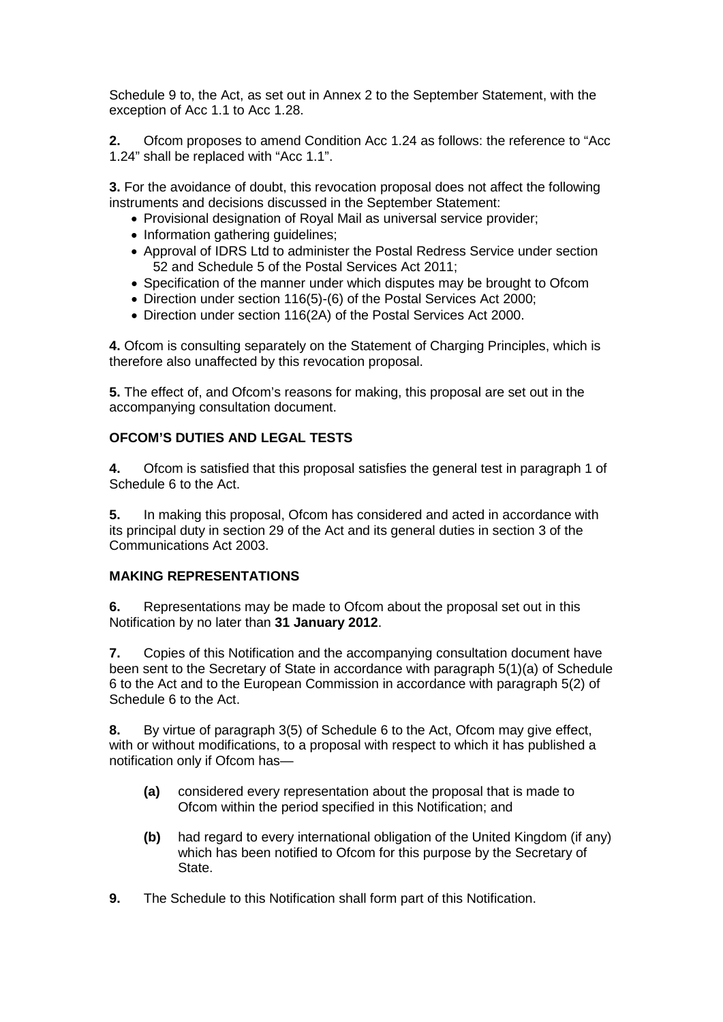Schedule 9 to, the Act, as set out in Annex 2 to the September Statement, with the exception of Acc 1.1 to Acc 1.28.

**2.** Ofcom proposes to amend Condition Acc 1.24 as follows: the reference to "Acc 1.24" shall be replaced with "Acc 1.1".

**3.** For the avoidance of doubt, this revocation proposal does not affect the following instruments and decisions discussed in the September Statement:

- Provisional designation of Royal Mail as universal service provider;
- Information gathering quidelines;
- Approval of IDRS Ltd to administer the Postal Redress Service under section 52 and Schedule 5 of the Postal Services Act 2011;
- Specification of the manner under which disputes may be brought to Ofcom
- Direction under section 116(5)-(6) of the Postal Services Act 2000;
- Direction under section 116(2A) of the Postal Services Act 2000.

**4.** Ofcom is consulting separately on the Statement of Charging Principles, which is therefore also unaffected by this revocation proposal.

**5.** The effect of, and Ofcom's reasons for making, this proposal are set out in the accompanying consultation document.

#### **OFCOM'S DUTIES AND LEGAL TESTS**

**4.** Ofcom is satisfied that this proposal satisfies the general test in paragraph 1 of Schedule 6 to the Act.

**5.** In making this proposal, Ofcom has considered and acted in accordance with its principal duty in section 29 of the Act and its general duties in section 3 of the Communications Act 2003.

#### **MAKING REPRESENTATIONS**

**6.** Representations may be made to Ofcom about the proposal set out in this Notification by no later than **31 January 2012**.

**7.** Copies of this Notification and the accompanying consultation document have been sent to the Secretary of State in accordance with paragraph 5(1)(a) of Schedule 6 to the Act and to the European Commission in accordance with paragraph 5(2) of Schedule 6 to the Act.

**8.** By virtue of paragraph 3(5) of Schedule 6 to the Act, Ofcom may give effect, with or without modifications, to a proposal with respect to which it has published a notification only if Ofcom has—

- **(a)** considered every representation about the proposal that is made to Ofcom within the period specified in this Notification; and
- **(b)** had regard to every international obligation of the United Kingdom (if any) which has been notified to Ofcom for this purpose by the Secretary of State.
- **9.** The Schedule to this Notification shall form part of this Notification.